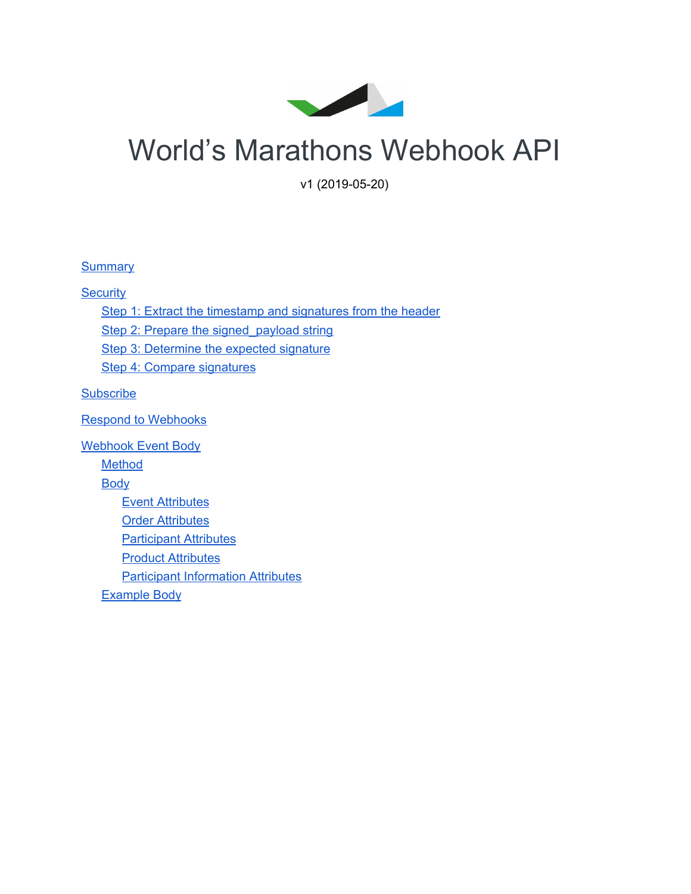

# World's Marathons Webhook API

v1 (2019-05-20)

**[Summary](#page-1-0)** 

**[Security](#page-1-1)** 

Step 1: Extract the timestamp and [signatures](#page-1-2) from the header

Step 2: Prepare the signed payload string

Step 3: [Determine](#page-1-4) the expected signature

Step 4: Compare [signatures](#page-2-0)

**[Subscribe](#page-3-0)** 

Respond to [Webhooks](#page-3-1)

[Webhook](#page-3-2) Event Body **[Method](#page-3-3) [Body](#page-3-4)** Event [Attributes](#page-3-5) Order [Attributes](#page-4-0) Participant Attributes **Product [Attributes](#page-5-0)** Participant Information Attributes [Example](#page-7-0) Body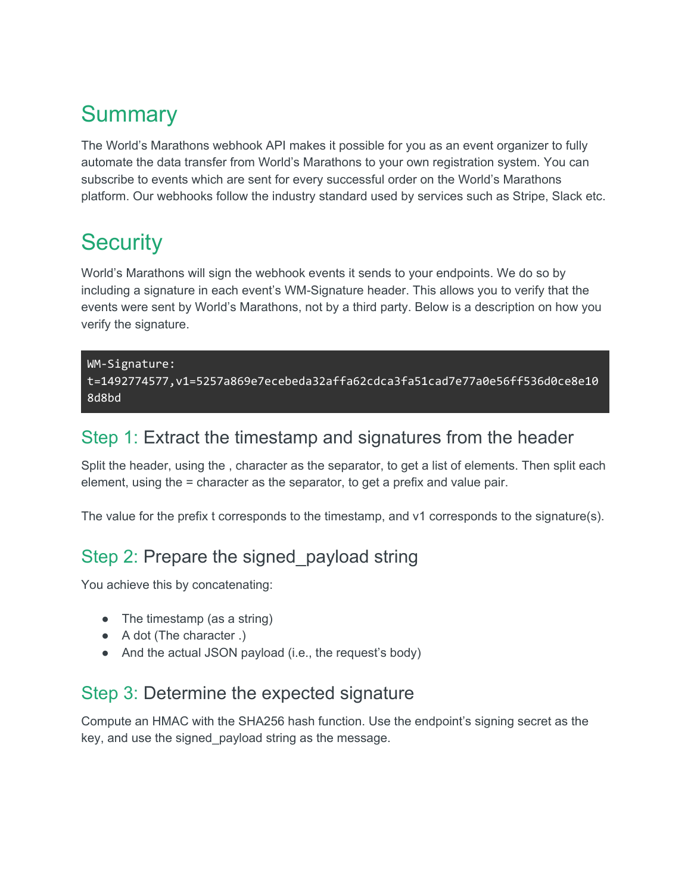# <span id="page-1-0"></span>**Summary**

The World's Marathons webhook API makes it possible for you as an event organizer to fully automate the data transfer from World's Marathons to your own registration system. You can subscribe to events which are sent for every successful order on the World's Marathons platform. Our webhooks follow the industry standard used by services such as Stripe, Slack etc.

### <span id="page-1-1"></span>**Security**

World's Marathons will sign the webhook events it sends to your endpoints. We do so by including a signature in each event's WM-Signature header. This allows you to verify that the events were sent by World's Marathons, not by a third party. Below is a description on how you verify the signature.

#### WM-Signature: t=1492774577,v1=5257a869e7ecebeda32affa62cdca3fa51cad7e77a0e56ff536d0ce8e10 8d8bd

#### <span id="page-1-2"></span>Step 1: Extract the timestamp and signatures from the header

Split the header, using the , character as the separator, to get a list of elements. Then split each element, using the = character as the separator, to get a prefix and value pair.

<span id="page-1-3"></span>The value for the prefix t corresponds to the timestamp, and v1 corresponds to the signature(s).

#### Step 2: Prepare the signed\_payload string

You achieve this by concatenating:

- The timestamp (as a string)
- A dot (The character .)
- And the actual JSON payload (i.e., the request's body)

#### <span id="page-1-4"></span>Step 3: Determine the expected signature

Compute an HMAC with the SHA256 hash function. Use the endpoint's signing secret as the key, and use the signed\_payload string as the message.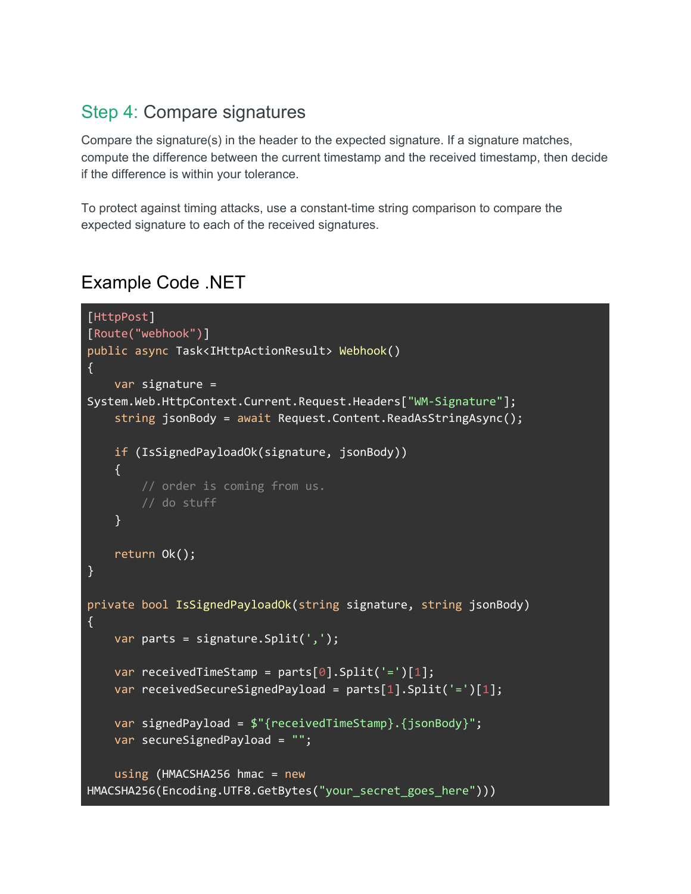#### <span id="page-2-0"></span>Step 4: Compare signatures

Compare the signature(s) in the header to the expected signature. If a signature matches, compute the difference between the current timestamp and the received timestamp, then decide if the difference is within your tolerance.

To protect against timing attacks, use a constant-time string comparison to compare the expected signature to each of the received signatures.

#### Example Code .NET

```
[HttpPost]
[Route("webhook")]
public async Task<IHttpActionResult> Webhook()
{
   var signature =
System.Web.HttpContext.Current.Request.Headers["WM-Signature"];
    string jsonBody = await Request.Content.ReadAsStringAsync();
   if (IsSignedPayloadOk(signature, jsonBody))
   {
       // order is coming from us.
       // do stuff
   }
   return Ok();
}
private bool IsSignedPayloadOk(string signature, string jsonBody)
\{var parts = signature.Split(',');
   var receivedTimeStamp = parts[0].Split('=')[1];
   var receivedSecureSignedPayload = parts[1].Split('=')[1];
   var signedPayload = $"{receivedTimeStamp}.{jsonBody}";
   var secureSignedPayload = "";
   using (HMACSHA256 hmac = new
HMACSHA256(Encoding.UTF8.GetBytes("your_secret_goes_here")))
```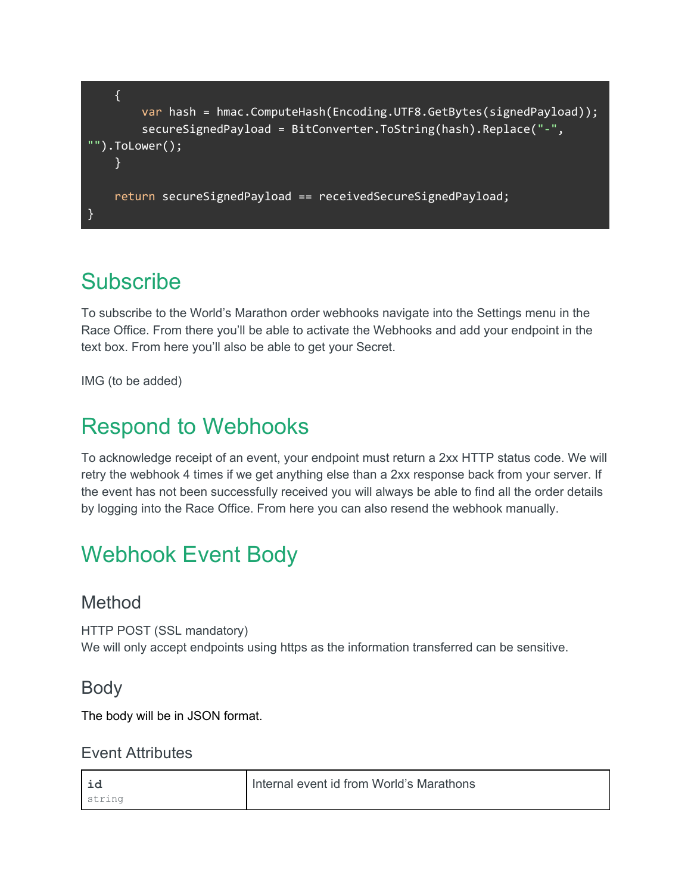

### <span id="page-3-0"></span>**Subscribe**

To subscribe to the World's Marathon order webhooks navigate into the Settings menu in the Race Office. From there you'll be able to activate the Webhooks and add your endpoint in the text box. From here you'll also be able to get your Secret.

<span id="page-3-1"></span>IMG (to be added)

### Respond to Webhooks

To acknowledge receipt of an event, your endpoint must return a 2xx HTTP status code. We will retry the webhook 4 times if we get anything else than a 2xx response back from your server. If the event has not been successfully received you will always be able to find all the order details by logging into the Race Office. From here you can also resend the webhook manually.

## <span id="page-3-2"></span>Webhook Event Body

#### <span id="page-3-3"></span>Method

HTTP POST (SSL mandatory) We will only accept endpoints using https as the information transferred can be sensitive.

#### <span id="page-3-4"></span>Body

<span id="page-3-5"></span>The body will be in JSON format.

#### Event Attributes

| id     | Internal event id from World's Marathons |
|--------|------------------------------------------|
| string |                                          |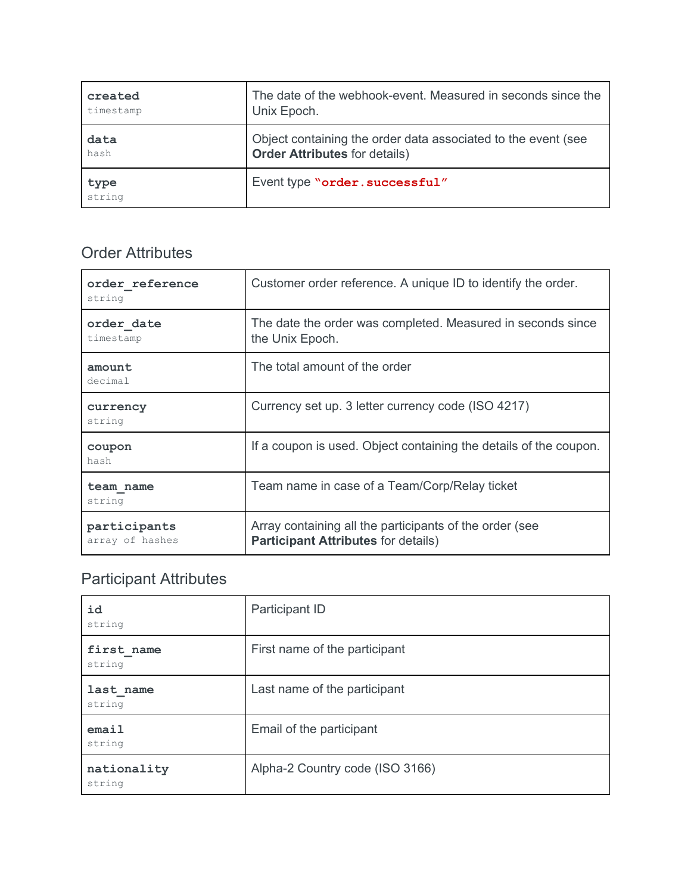| created        | The date of the webhook-event. Measured in seconds since the  |
|----------------|---------------------------------------------------------------|
| timestamp      | Unix Epoch.                                                   |
| data           | Object containing the order data associated to the event (see |
| hash           | <b>Order Attributes for details)</b>                          |
| type<br>string | Event type "order. successful"                                |

#### <span id="page-4-0"></span>Order Attributes

| order reference<br>string       | Customer order reference. A unique ID to identify the order.                                          |
|---------------------------------|-------------------------------------------------------------------------------------------------------|
| order date<br>timestamp         | The date the order was completed. Measured in seconds since<br>the Unix Epoch.                        |
| amount<br>decimal               | The total amount of the order                                                                         |
| currency<br>string              | Currency set up. 3 letter currency code (ISO 4217)                                                    |
| coupon<br>hash                  | If a coupon is used. Object containing the details of the coupon.                                     |
| team name<br>string             | Team name in case of a Team/Corp/Relay ticket                                                         |
| participants<br>array of hashes | Array containing all the participants of the order (see<br><b>Participant Attributes for details)</b> |

### Participant Attributes

| id<br>string          | Participant ID                  |
|-----------------------|---------------------------------|
| first name<br>string  | First name of the participant   |
| last name<br>string   | Last name of the participant    |
| email<br>string       | Email of the participant        |
| nationality<br>string | Alpha-2 Country code (ISO 3166) |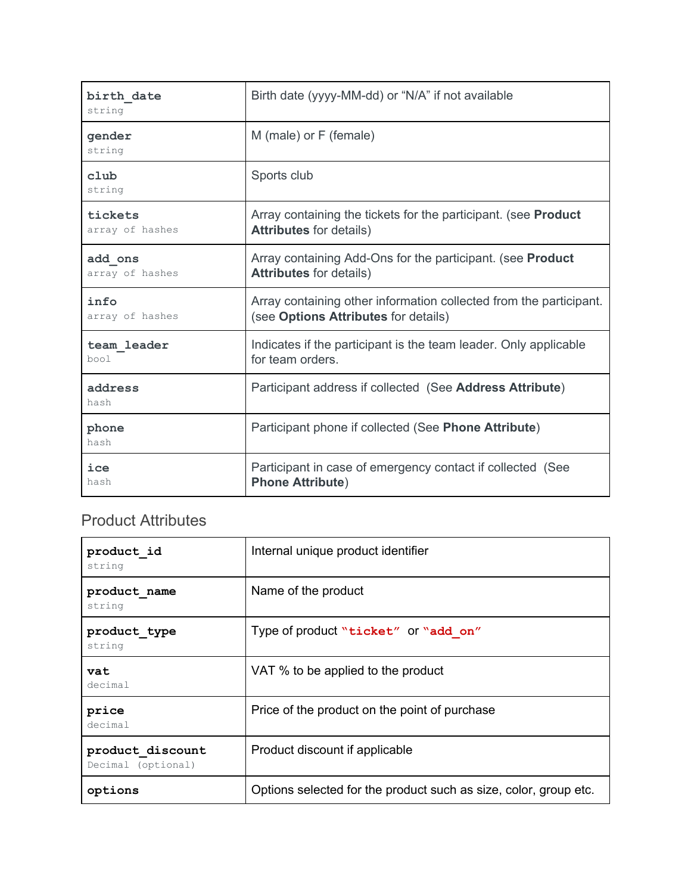| birth date<br>string | Birth date (yyyy-MM-dd) or "N/A" if not available                     |
|----------------------|-----------------------------------------------------------------------|
| gender<br>string     | M (male) or F (female)                                                |
| club<br>string       | Sports club                                                           |
| tickets              | Array containing the tickets for the participant. (see <b>Product</b> |
| array of hashes      | <b>Attributes for details)</b>                                        |
| add ons              | Array containing Add-Ons for the participant. (see <b>Product</b>     |
| array of hashes      | <b>Attributes for details)</b>                                        |
| info                 | Array containing other information collected from the participant.    |
| array of hashes      | (see Options Attributes for details)                                  |
| team leader          | Indicates if the participant is the team leader. Only applicable      |
| bool                 | for team orders.                                                      |
| address<br>hash      | Participant address if collected (See Address Attribute)              |
| phone<br>hash        | Participant phone if collected (See Phone Attribute)                  |
| ice                  | Participant in case of emergency contact if collected (See            |
| hash                 | <b>Phone Attribute)</b>                                               |

#### <span id="page-5-0"></span>Product Attributes

| product id<br>string                   | Internal unique product identifier                               |
|----------------------------------------|------------------------------------------------------------------|
| product name<br>string                 | Name of the product                                              |
| product type<br>string                 | Type of product "ticket" or "add on"                             |
| vat<br>decimal                         | VAT % to be applied to the product                               |
| price<br>decimal                       | Price of the product on the point of purchase                    |
| product discount<br>Decimal (optional) | Product discount if applicable                                   |
| options                                | Options selected for the product such as size, color, group etc. |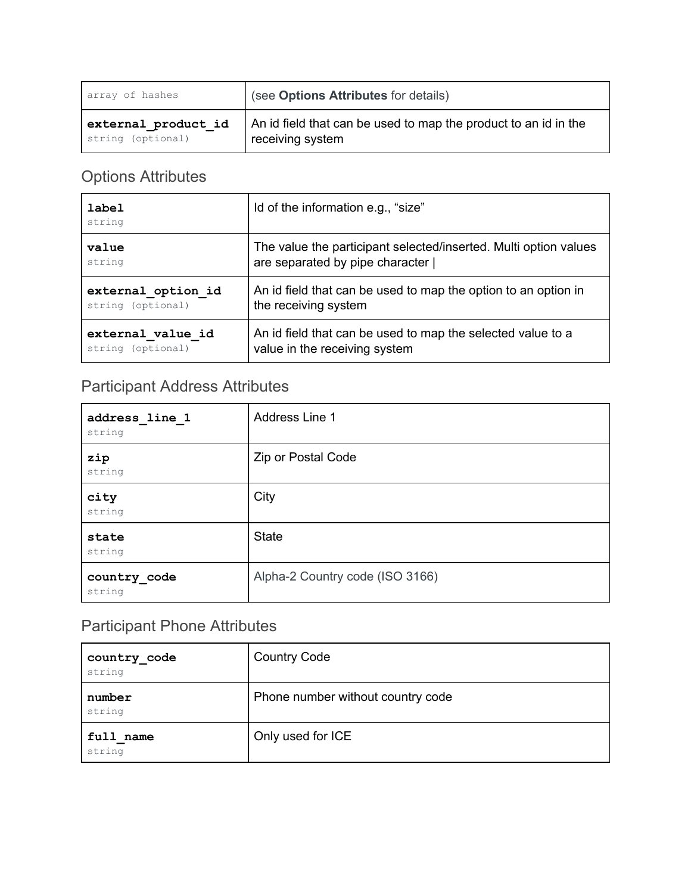| array of hashes     | (see Options Attributes for details)                            |
|---------------------|-----------------------------------------------------------------|
| external product id | An id field that can be used to map the product to an id in the |
| string (optional)   | receiving system                                                |

#### Options Attributes

| label<br>string    | Id of the information e.g., "size"                               |
|--------------------|------------------------------------------------------------------|
| value              | The value the participant selected/inserted. Multi option values |
| string             | are separated by pipe character                                  |
| external option id | An id field that can be used to map the option to an option in   |
| string (optional)  | the receiving system                                             |
| external value id  | An id field that can be used to map the selected value to a      |
| string (optional)  | value in the receiving system                                    |

#### Participant Address Attributes

| address line 1<br>string | Address Line 1                  |
|--------------------------|---------------------------------|
| zip<br>string            | Zip or Postal Code              |
| city<br>string           | City                            |
| state<br>string          | <b>State</b>                    |
| country code<br>string   | Alpha-2 Country code (ISO 3166) |

### Participant Phone Attributes

| country_code<br>string | <b>Country Code</b>               |
|------------------------|-----------------------------------|
| number<br>string       | Phone number without country code |
| full name<br>string    | Only used for ICE                 |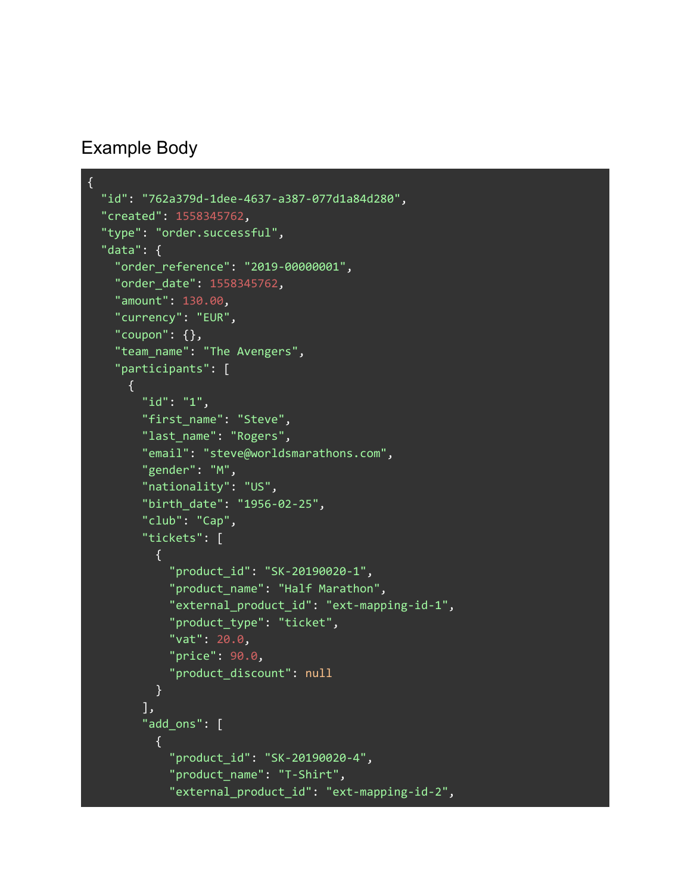#### <span id="page-7-0"></span>Example Body

```
{
  "id": "762a379d-1dee-4637-a387-077d1a84d280",
  "created": 1558345762,
  "type": "order.successful",
  "data": {
   "order_reference": "2019-00000001",
   "order_date": 1558345762,
   "amount": 130.00,
   "currency": "EUR",
    "coupon": {},
    "team_name": "The Avengers",
    "participants": [
      {
        "id": "1",
        "first_name": "Steve",
        "last_name": "Rogers",
        "email": "steve@worldsmarathons.com",
        "gender": "M",
        "nationality": "US",
        "birth_date": "1956-02-25",
        "club": "Cap",
        "tickets": [
          {
            "product_id": "SK-20190020-1",
            "product_name": "Half Marathon",
            "external_product_id": "ext-mapping-id-1",
            "product_type": "ticket",
            "vat": 20.0,
            "price": 90.0,
            "product_discount": null
          }
        ],
        "add_ons": [
          \{"product_id": "SK-20190020-4",
            "product_name": "T-Shirt",
            "external_product_id": "ext-mapping-id-2",
```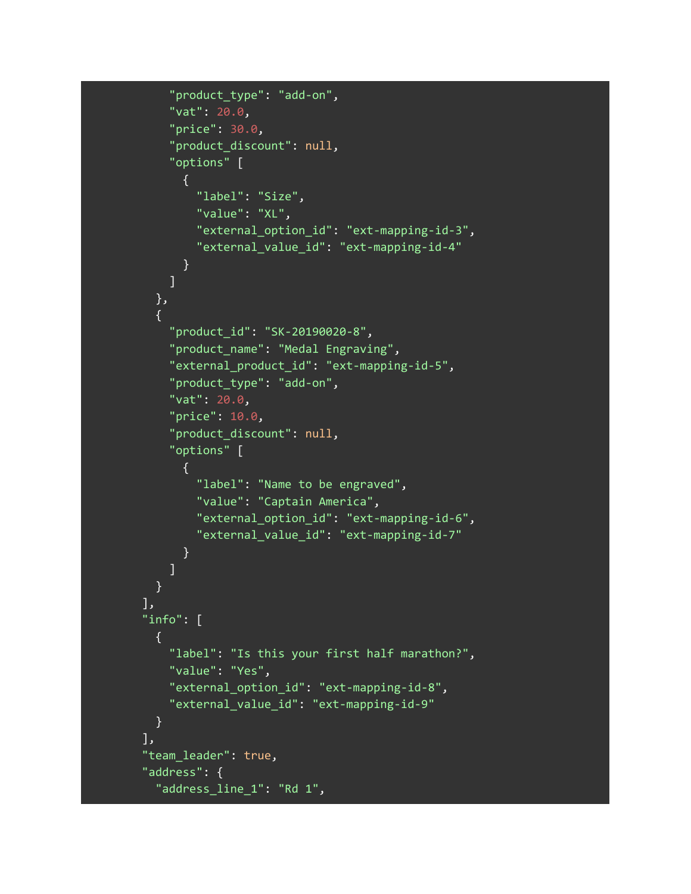```
"product_type": "add-on",
    "vat": 20.0,
    "price": 30.0,
    "product_discount": null,
    "options" [
      \{"label": "Size",
        "value": "XL",
        "external_option_id": "ext-mapping-id-3",
        "external_value_id": "ext-mapping-id-4"
     }
    ]
  },
  {
    "product_id": "SK-20190020-8",
    "product name": "Medal Engraving",
    "external_product_id": "ext-mapping-id-5",
    "product_type": "add-on",
    "vat": 20.0,
    "price": 10.0,
    "product_discount": null,
    "options" [
      \left\{ \right."label": "Name to be engraved",
        "value": "Captain America",
        "external_option_id": "ext-mapping-id-6",
        "external_value_id": "ext-mapping-id-7"
      }
    ]
 }
],
"info": [
 {
    "label": "Is this your first half marathon?",
    "value": "Yes",
    "external_option_id": "ext-mapping-id-8",
    "external_value_id": "ext-mapping-id-9"
 }
],
"team_leader": true,
"address": {
  "address_line_1": "Rd 1",
```